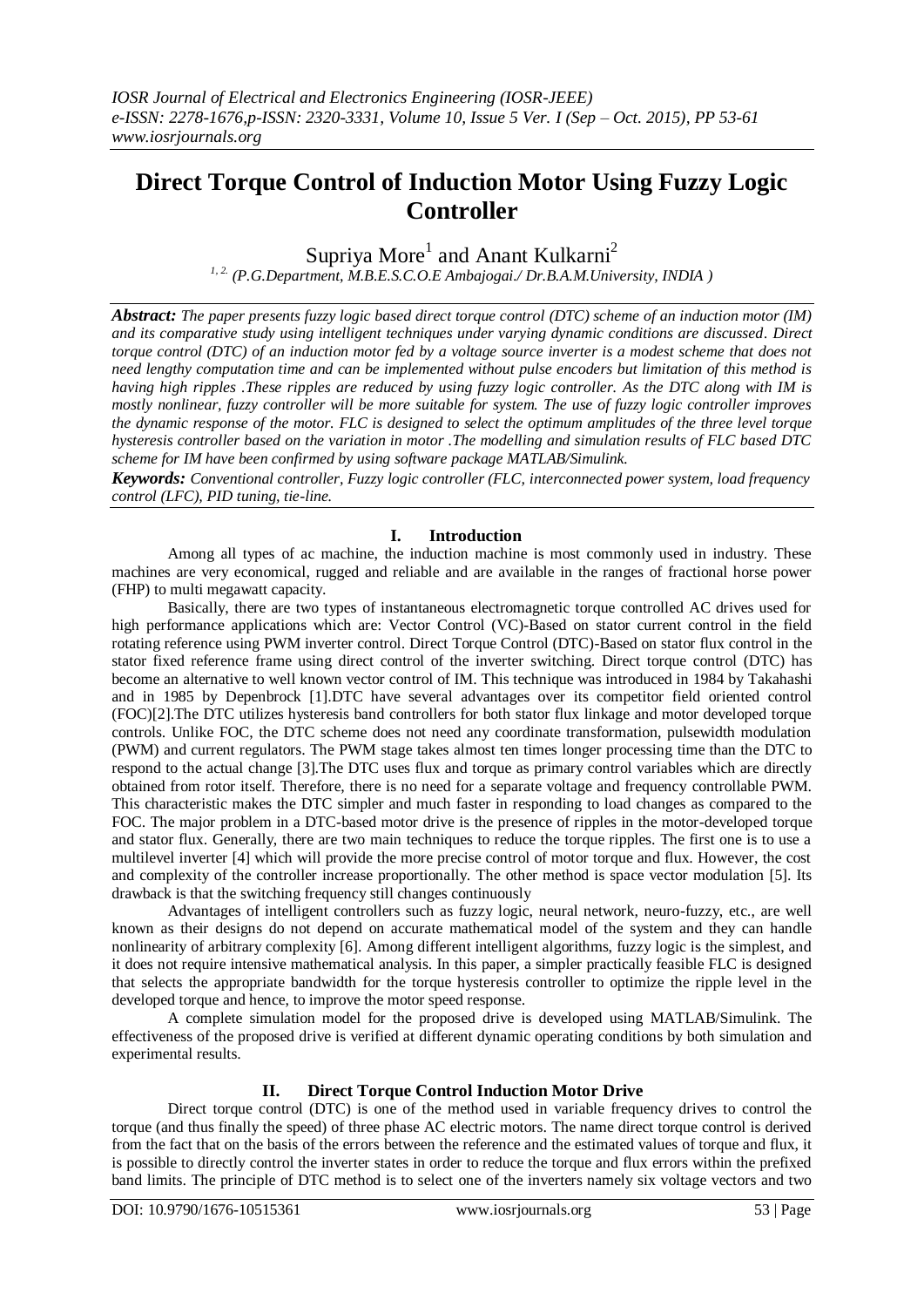# **Direct Torque Control of Induction Motor Using Fuzzy Logic Controller**

Supriya More<sup>1</sup> and Anant Kulkarni<sup>2</sup>

*1, 2. (P.G.Department, M.B.E.S.C.O.E Ambajogai./ Dr.B.A.M.University, INDIA )*

*Abstract: The paper presents fuzzy logic based direct torque control (DTC) scheme of an induction motor (IM) and its comparative study using intelligent techniques under varying dynamic conditions are discussed. Direct torque control (DTC) of an induction motor fed by a voltage source inverter is a modest scheme that does not need lengthy computation time and can be implemented without pulse encoders but limitation of this method is having high ripples .These ripples are reduced by using fuzzy logic controller. As the DTC along with IM is mostly nonlinear, fuzzy controller will be more suitable for system. The use of fuzzy logic controller improves the dynamic response of the motor. FLC is designed to select the optimum amplitudes of the three level torque hysteresis controller based on the variation in motor .The modelling and simulation results of FLC based DTC scheme for IM have been confirmed by using software package MATLAB/Simulink.*

*Keywords: Conventional controller, Fuzzy logic controller (FLC, interconnected power system, load frequency control (LFC), PID tuning, tie-line.* 

## **I. Introduction**

Among all types of ac machine, the induction machine is most commonly used in industry. These machines are very economical, rugged and reliable and are available in the ranges of fractional horse power (FHP) to multi megawatt capacity.

 Basically, there are two types of instantaneous electromagnetic torque controlled AC drives used for high performance applications which are: Vector Control (VC)-Based on stator current control in the field rotating reference using PWM inverter control. Direct Torque Control (DTC)-Based on stator flux control in the stator fixed reference frame using direct control of the inverter switching. Direct torque control (DTC) has become an alternative to well known vector control of IM. This technique was introduced in 1984 by Takahashi and in 1985 by Depenbrock [1].DTC have several advantages over its competitor field oriented control (FOC)[2].The DTC utilizes hysteresis band controllers for both stator flux linkage and motor developed torque controls. Unlike FOC, the DTC scheme does not need any coordinate transformation, pulsewidth modulation (PWM) and current regulators. The PWM stage takes almost ten times longer processing time than the DTC to respond to the actual change [3].The DTC uses flux and torque as primary control variables which are directly obtained from rotor itself. Therefore, there is no need for a separate voltage and frequency controllable PWM. This characteristic makes the DTC simpler and much faster in responding to load changes as compared to the FOC. The major problem in a DTC-based motor drive is the presence of ripples in the motor-developed torque and stator flux. Generally, there are two main techniques to reduce the torque ripples. The first one is to use a multilevel inverter [4] which will provide the more precise control of motor torque and flux. However, the cost and complexity of the controller increase proportionally. The other method is space vector modulation [5]. Its drawback is that the switching frequency still changes continuously

 Advantages of intelligent controllers such as fuzzy logic, neural network, neuro-fuzzy, etc., are well known as their designs do not depend on accurate mathematical model of the system and they can handle nonlinearity of arbitrary complexity [6]. Among different intelligent algorithms, fuzzy logic is the simplest, and it does not require intensive mathematical analysis. In this paper, a simpler practically feasible FLC is designed that selects the appropriate bandwidth for the torque hysteresis controller to optimize the ripple level in the developed torque and hence, to improve the motor speed response.

 A complete simulation model for the proposed drive is developed using MATLAB/Simulink. The effectiveness of the proposed drive is verified at different dynamic operating conditions by both simulation and experimental results.

## **II. Direct Torque Control Induction Motor Drive**

Direct torque control (DTC) is one of the method used in variable frequency drives to control the torque (and thus finally the speed) of three phase AC electric motors. The name direct torque control is derived from the fact that on the basis of the errors between the reference and the estimated values of torque and flux, it is possible to directly control the inverter states in order to reduce the torque and flux errors within the prefixed band limits. The principle of DTC method is to select one of the inverters namely six voltage vectors and two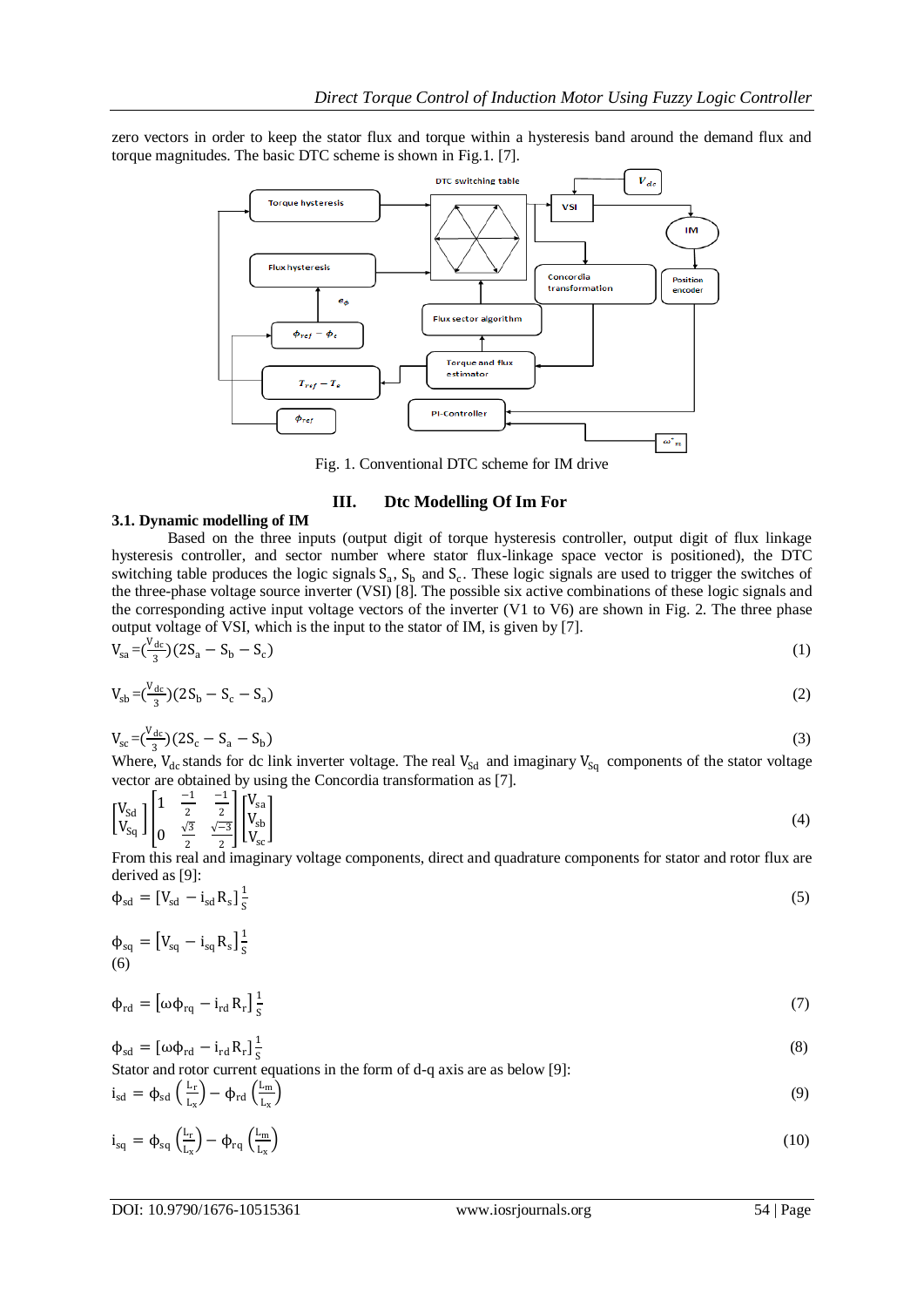zero vectors in order to keep the stator flux and torque within a hysteresis band around the demand flux and torque magnitudes. The basic DTC scheme is shown in Fig.1. [7].



Fig. 1. Conventional DTC scheme for IM drive

## **III. Dtc Modelling Of Im For**

### **3.1. Dynamic modelling of IM**

Based on the three inputs (output digit of torque hysteresis controller, output digit of flux linkage hysteresis controller, and sector number where stator flux-linkage space vector is positioned), the DTC switching table produces the logic signals  $S_a$ ,  $S_b$  and  $S_c$ . These logic signals are used to trigger the switches of the three-phase voltage source inverter (VSI) [8]. The possible six active combinations of these logic signals and the corresponding active input voltage vectors of the inverter (V1 to V6) are shown in Fig. 2. The three phase output voltage of VSI, which is the input to the stator of IM, is given by [7].

$$
V_{sa} = \left(\frac{V_{dc}}{3}\right)(2S_a - S_b - S_c) \tag{1}
$$

$$
V_{\rm sb} = \left(\frac{V_{\rm dc}}{3}\right)(2S_{\rm b} - S_{\rm c} - S_{\rm a})\tag{2}
$$

$$
V_{sc} = \left(\frac{V_{dc}}{3}\right) \left(2S_c - S_a - S_b\right) \tag{3}
$$

Where,  $V_{dc}$  stands for dc link inverter voltage. The real  $V_{Sd}$  and imaginary  $V_{Sq}$  components of the stator voltage vector are obtained by using the Concordia transformation as [7].

$$
\begin{bmatrix}\nV_{\text{Sd}} \\
V_{\text{Sq}}\n\end{bmatrix}\n\begin{bmatrix}\n1 & \frac{-1}{2} & \frac{-1}{2} \\
0 & \frac{\sqrt{3}}{2} & \frac{\sqrt{-3}}{2}\n\end{bmatrix}\n\begin{bmatrix}\nV_{\text{sa}} \\
V_{\text{sb}} \\
V_{\text{sc}}\n\end{bmatrix}
$$
\nFrom this real and imaginary voltage components, direct and quadratic components for state and rotor flux are

From this real and imaginary voltage components, direct and quadrature components for stator and rotor flux are derived as [9]:

$$
\Phi_{\rm sd} = \left[V_{\rm sd} - i_{\rm sd} R_{\rm s}\right] \frac{1}{\rm s} \tag{5}
$$

$$
\Phi_{\text{sq}} = [V_{\text{sq}} - i_{\text{sq}} R_{\text{s}}] \frac{1}{5}
$$
\n(6)

$$
\Phi_{\rm rd} = \left[\omega\Phi_{\rm rq} - i_{\rm rd}R_{\rm r}\right]\frac{1}{s} \tag{7}
$$

$$
\Phi_{sd} = [\omega \Phi_{rd} - i_{rd} R_r] \frac{1}{s}
$$
\n(8)

Stator and rotor current equations in the form of d-q axis are as below [9]:  $(1)$  $\sqrt{1}$ 

$$
i_{sd} = \phi_{sd} \left( \frac{L_r}{L_x} \right) - \phi_{rd} \left( \frac{L_m}{L_x} \right) \tag{9}
$$

$$
i_{sq} = \phi_{sq} \left( \frac{L_r}{L_x} \right) - \phi_{rq} \left( \frac{L_m}{L_x} \right) \tag{10}
$$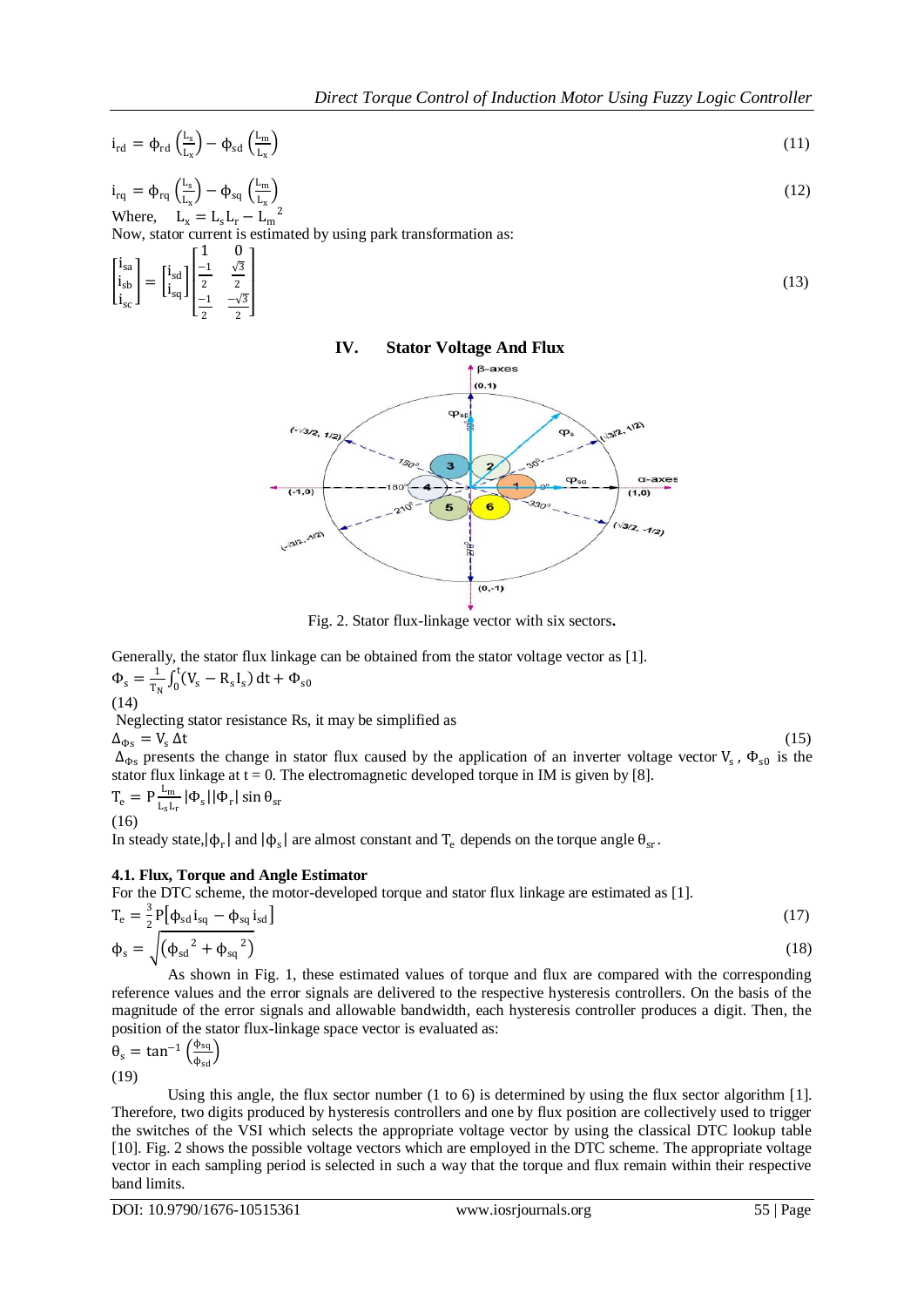$$
i_{rd} = \phi_{rd} \left( \frac{L_s}{L_x} \right) - \phi_{sd} \left( \frac{L_m}{L_x} \right) \tag{11}
$$

$$
i_{rq} = \phi_{rq} \left(\frac{L_s}{L_x}\right) - \phi_{sq} \left(\frac{L_m}{L_x}\right)
$$
  
Where, 
$$
L_x = L_s L_r - L_m^2
$$
 (12)

Now, stator current is estimated by using park transformation as:

$$
\begin{bmatrix} \mathbf{i}_{sa} \\ \mathbf{i}_{sb} \\ \mathbf{i}_{sc} \end{bmatrix} = \begin{bmatrix} \mathbf{i}_{sd} \\ \mathbf{i}_{sq} \end{bmatrix} \begin{bmatrix} \frac{1}{2} & \frac{\sqrt{3}}{2} \\ \frac{-1}{2} & \frac{-\sqrt{3}}{2} \end{bmatrix} \tag{13}
$$

## **IV. Stator Voltage And Flux**



Fig. 2. Stator flux-linkage vector with six sectors**.**

Generally, the stator flux linkage can be obtained from the stator voltage vector as [1].  $\Phi_{\rm s} = \frac{1}{\tau_{\rm s}}$  $\frac{1}{T_N} \int_0^t (V_s - R_s I_s)$  $\int_0^1 (V_s - R_s I_s) dt + \Phi_{s0}$ 

(14)

Neglecting stator resistance Rs, it may be simplified as

 $\Delta_{\Phi s} = V_s \Delta t$  (15)  $\Delta_{\Phi s}$  presents the change in stator flux caused by the application of an inverter voltage vector  $V_s$ ,  $\Phi_{s0}$  is the stator flux linkage at  $t = 0$ . The electromagnetic developed torque in IM is given by [8].

$$
T_e = P \frac{L_m}{L_s L_r} |\Phi_s| |\Phi_r| \sin \theta_{sr}
$$
  
(16)

In steady state,  $|\phi_r|$  and  $|\phi_s|$  are almost constant and  $T_e$  depends on the torque angle  $\theta_{sr}$ .

## **4.1. Flux, Torque and Angle Estimator**

For the DTC scheme, the motor-developed torque and stator flux linkage are estimated as [1].  $3\pi$ L  $\cdot$ 

$$
T_e = \frac{3}{2} P \left[ \phi_{sd} i_{sq} - \phi_{sq} i_{sd} \right]
$$
  
\n
$$
\phi_s = \sqrt{\left( \phi_{sd}^2 + \phi_{sq}^2 \right)}
$$
\n(17)

 As shown in Fig. 1, these estimated values of torque and flux are compared with the corresponding reference values and the error signals are delivered to the respective hysteresis controllers. On the basis of the magnitude of the error signals and allowable bandwidth, each hysteresis controller produces a digit. Then, the position of the stator flux-linkage space vector is evaluated as:

$$
\theta_{s} = \tan^{-1} \left( \frac{\phi_{sq}}{\phi_{sd}} \right)
$$
  
(19)

 Using this angle, the flux sector number (1 to 6) is determined by using the flux sector algorithm [1]. Therefore, two digits produced by hysteresis controllers and one by flux position are collectively used to trigger the switches of the VSI which selects the appropriate voltage vector by using the classical DTC lookup table [10]. Fig. 2 shows the possible voltage vectors which are employed in the DTC scheme. The appropriate voltage vector in each sampling period is selected in such a way that the torque and flux remain within their respective band limits.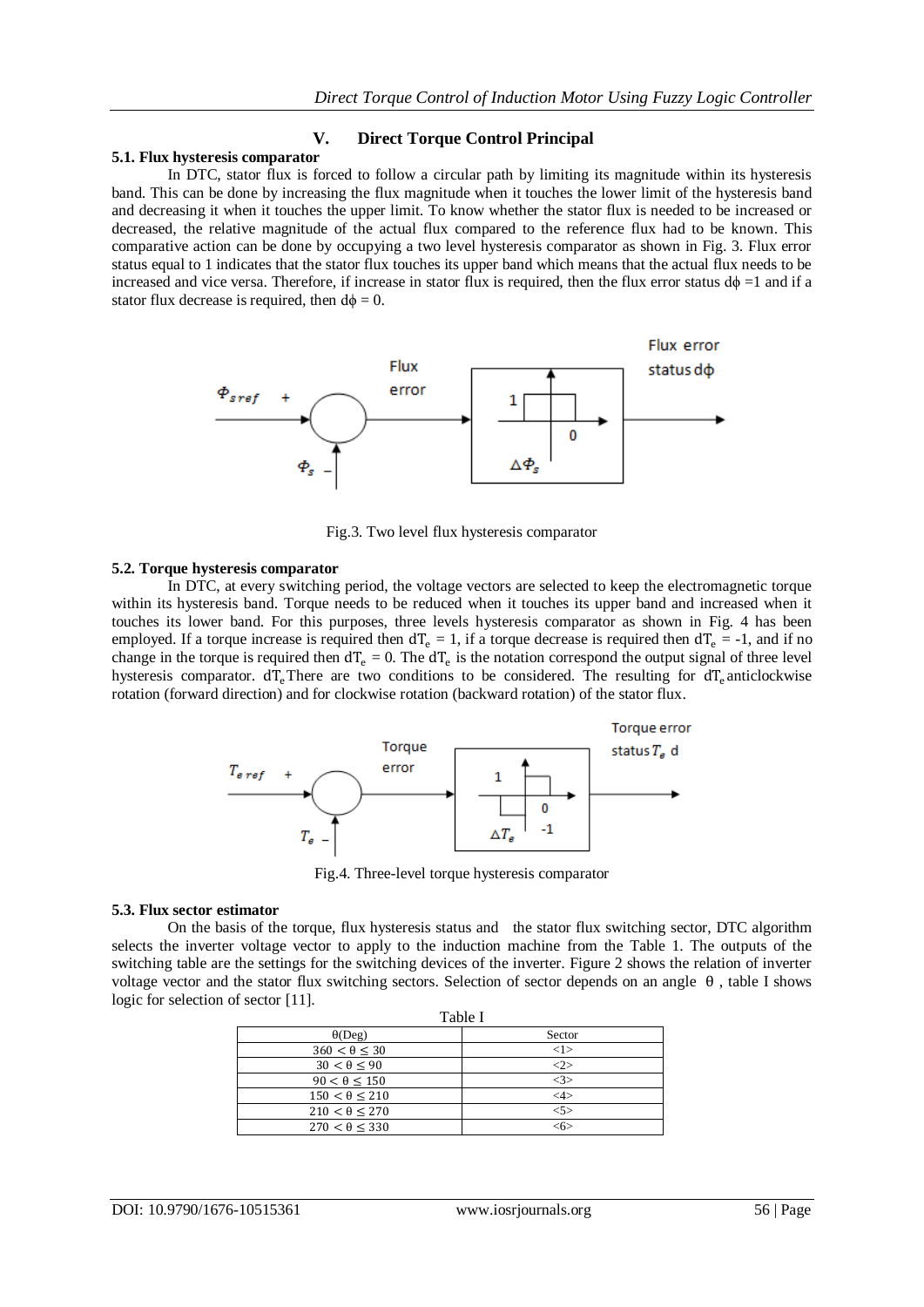### **V. Direct Torque Control Principal**

#### **5.1. Flux hysteresis comparator**

 In DTC, stator flux is forced to follow a circular path by limiting its magnitude within its hysteresis band. This can be done by increasing the flux magnitude when it touches the lower limit of the hysteresis band and decreasing it when it touches the upper limit. To know whether the stator flux is needed to be increased or decreased, the relative magnitude of the actual flux compared to the reference flux had to be known. This comparative action can be done by occupying a two level hysteresis comparator as shown in Fig. 3. Flux error status equal to 1 indicates that the stator flux touches its upper band which means that the actual flux needs to be increased and vice versa. Therefore, if increase in stator flux is required, then the flux error status  $d\phi =1$  and if a stator flux decrease is required, then  $d\phi = 0$ .



Fig.3. Two level flux hysteresis comparator

#### **5.2. Torque hysteresis comparator**

In DTC, at every switching period, the voltage vectors are selected to keep the electromagnetic torque within its hysteresis band. Torque needs to be reduced when it touches its upper band and increased when it touches its lower band. For this purposes, three levels hysteresis comparator as shown in Fig. 4 has been employed. If a torque increase is required then  $dT_e = 1$ , if a torque decrease is required then  $dT_e = -1$ , and if no change in the torque is required then  $dT_e = 0$ . The  $dT_e$  is the notation correspond the output signal of three level hysteresis comparator.  $dT_e$ There are two conditions to be considered. The resulting for  $dT_e$  anticlockwise rotation (forward direction) and for clockwise rotation (backward rotation) of the stator flux.



Fig.4. Three-level torque hysteresis comparator

#### **5.3. Flux sector estimator**

On the basis of the torque, flux hysteresis status and the stator flux switching sector, DTC algorithm selects the inverter voltage vector to apply to the induction machine from the Table 1. The outputs of the switching table are the settings for the switching devices of the inverter. Figure 2 shows the relation of inverter voltage vector and the stator flux switching sectors. Selection of sector depends on an angle θ , table I shows logic for selection of sector [11].

| Table I                 |               |  |  |  |
|-------------------------|---------------|--|--|--|
| $\theta(Deg)$           | Sector        |  |  |  |
| $360 < \theta \leq 30$  | <1>           |  |  |  |
| $30 < \theta < 90$      | -25           |  |  |  |
| $90 < \theta < 150$     | <3>           |  |  |  |
| $150 < \theta \leq 210$ | $<\!\!4\!\!>$ |  |  |  |
| $210 < \theta < 270$    | 55            |  |  |  |
| $270 < \theta < 330$    | <6ነ           |  |  |  |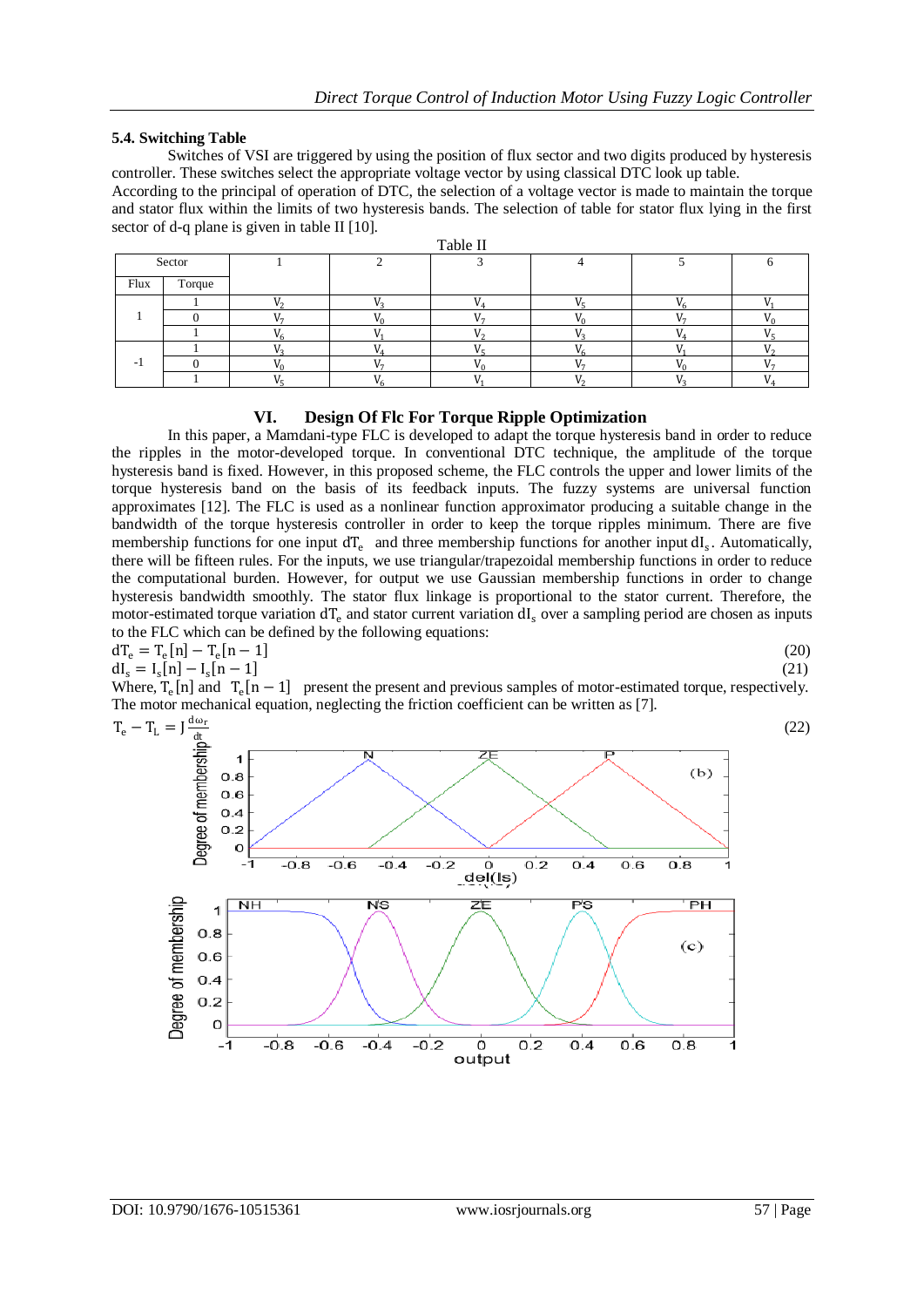## **5.4. Switching Table**

 Switches of VSI are triggered by using the position of flux sector and two digits produced by hysteresis controller. These switches select the appropriate voltage vector by using classical DTC look up table.

According to the principal of operation of DTC, the selection of a voltage vector is made to maintain the torque and stator flux within the limits of two hysteresis bands. The selection of table for stator flux lying in the first sector of d-q plane is given in table II [10].

| Table II |        |  |  |  |  |  |  |  |
|----------|--------|--|--|--|--|--|--|--|
| Sector   |        |  |  |  |  |  |  |  |
| Flux     | Torque |  |  |  |  |  |  |  |
|          |        |  |  |  |  |  |  |  |
|          |        |  |  |  |  |  |  |  |
|          |        |  |  |  |  |  |  |  |
|          |        |  |  |  |  |  |  |  |
|          |        |  |  |  |  |  |  |  |
|          |        |  |  |  |  |  |  |  |

## **VI. Design Of Flc For Torque Ripple Optimization**

In this paper, a Mamdani-type FLC is developed to adapt the torque hysteresis band in order to reduce the ripples in the motor-developed torque. In conventional DTC technique, the amplitude of the torque hysteresis band is fixed. However, in this proposed scheme, the FLC controls the upper and lower limits of the torque hysteresis band on the basis of its feedback inputs. The fuzzy systems are universal function approximates [12]. The FLC is used as a nonlinear function approximator producing a suitable change in the bandwidth of the torque hysteresis controller in order to keep the torque ripples minimum. There are five membership functions for one input dT<sub>e</sub> and three membership functions for another input dI<sub>s</sub>. Automatically, there will be fifteen rules. For the inputs, we use triangular/trapezoidal membership functions in order to reduce the computational burden. However, for output we use Gaussian membership functions in order to change hysteresis bandwidth smoothly. The stator flux linkage is proportional to the stator current. Therefore, the motor-estimated torque variation  $dT_e$  and stator current variation  $dI_s$  over a sampling period are chosen as inputs to the FLC which can be defined by the following equations:

$$
dT_e = T_e[n] - T_e[n-1]
$$
(20)  
\n
$$
dI_s = I_s[n] - I_s[n-1]
$$
(21)

Where,  $T_e[n]$  and  $T_e[n-1]$  present the present and previous samples of motor-estimated torque, respectively. The motor mechanical equation, neglecting the friction coefficient can be written as [7].

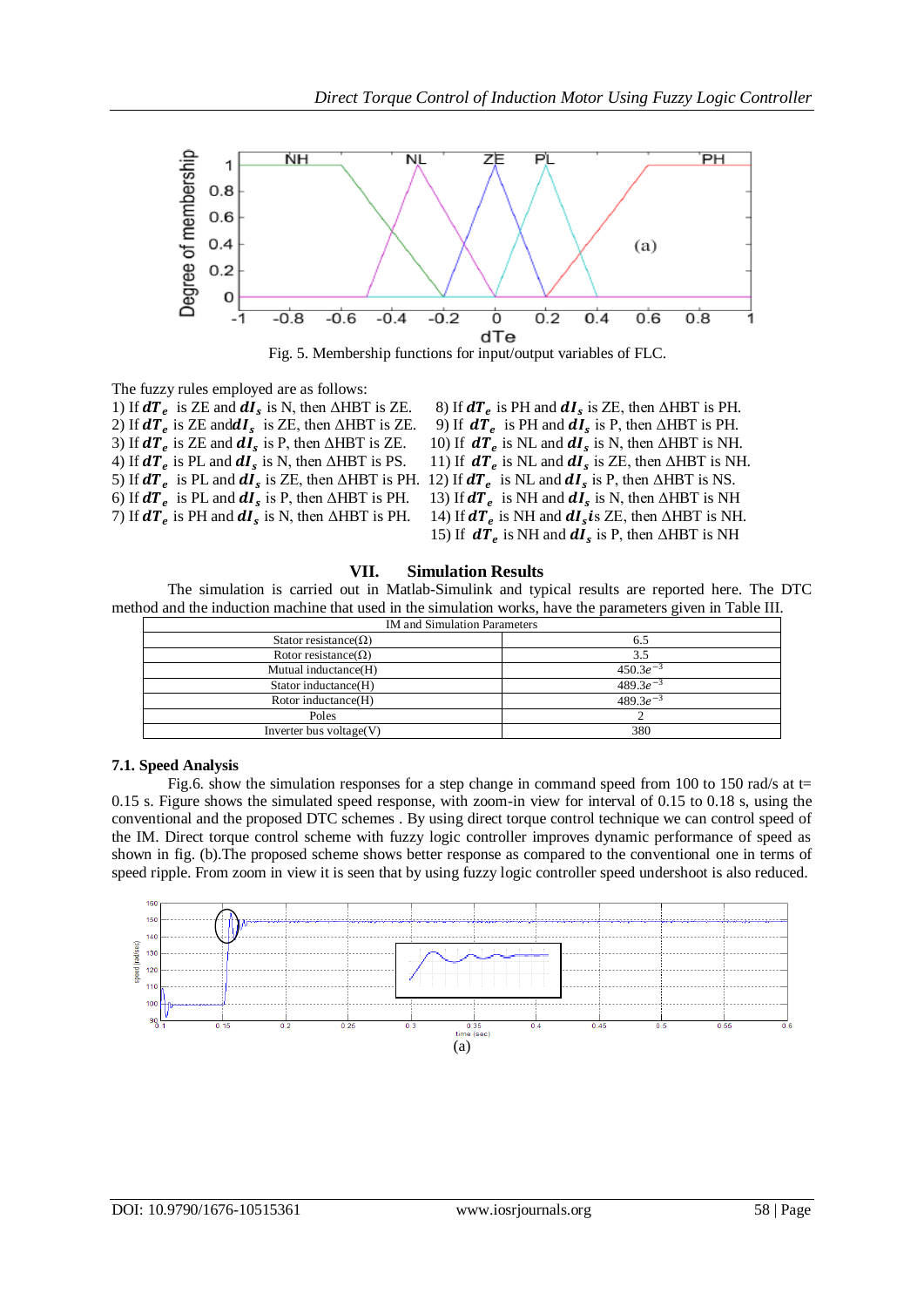

Fig. 5. Membership functions for input/output variables of FLC.

The fuzzy rules employed are as follows:

1) If  $dT_e$  is ZE and  $dI_s$  is N, then  $\triangle HBT$  is ZE. 8) If  $dT_e$ 2) If  $dT_e$  is ZE and  $dI_s$  is ZE, then  $\triangle HBT$  is ZE. 9) If  $dT_e$ 3) If  $dT_e$  is ZE and  $dI_s$  is P, then  $\triangle HBT$  is ZE. 10) If  $dT_e$ 4) If  $dT_e$  is PL and  $dI_s$  is N, then  $\triangle HBT$  is PS. 11) If  $dT_e$ 5) If  $dT_e$  is PL and  $dI_s$  is ZE, then  $\triangle HBT$  is PH. 12) If  $dT_e$  is NL and  $dI_s$  is P, then  $\triangle HBT$  is NS. 6) If  $dT_e$  is PL and  $dI_s$  is P, then  $\triangle HBT$  is PH. 13) If  $dT_e$ 7) If  $dT_e$  is PH and  $dI_s$  is N, then  $\triangle HBT$  is PH. 14) If  $dT_e$ 

is PH and  $dI_s$  is ZE, then  $\triangle HBT$  is PH. is PH and  $dI_s$  is P, then  $\triangle HBT$  is PH. is NL and  $dI_s$  is N, then  $\triangle HBT$  is NH. is NL and  $dI_s$  is ZE, then  $\triangle HBT$  is NH. is NH and  $dI_s$  is N, then  $\triangle HBT$  is NH is NH and  $dI_s$  is ZE, then  $\triangle$ HBT is NH. 15) If  $dT_e$  is NH and  $dI_s$  is P, then  $\triangle HBT$  is NH

#### **VII. Simulation Results**

The simulation is carried out in Matlab-Simulink and typical results are reported here. The DTC method and the induction machine that used in the simulation works, have the parameters given in Table III.

| <b>IM</b> and Simulation Parameters |               |
|-------------------------------------|---------------|
| Stator resistance( $\Omega$ )       | 6.5           |
| Rotor resistance( $\Omega$ )        | 3.5           |
| Mutual inductance(H)                | $450.3e^{-3}$ |
| Stator inductance(H)                | $489.3e^{-3}$ |
| Rotor inductance(H)                 | $489.3e^{-3}$ |
| Poles                               |               |
| Inverter bus voltage $(V)$          | 380           |

### **7.1. Speed Analysis**

Fig.6. show the simulation responses for a step change in command speed from 100 to 150 rad/s at  $t=$ 0.15 s. Figure shows the simulated speed response, with zoom-in view for interval of 0.15 to 0.18 s, using the conventional and the proposed DTC schemes . By using direct torque control technique we can control speed of the IM. Direct torque control scheme with fuzzy logic controller improves dynamic performance of speed as shown in fig. (b).The proposed scheme shows better response as compared to the conventional one in terms of speed ripple. From zoom in view it is seen that by using fuzzy logic controller speed undershoot is also reduced.

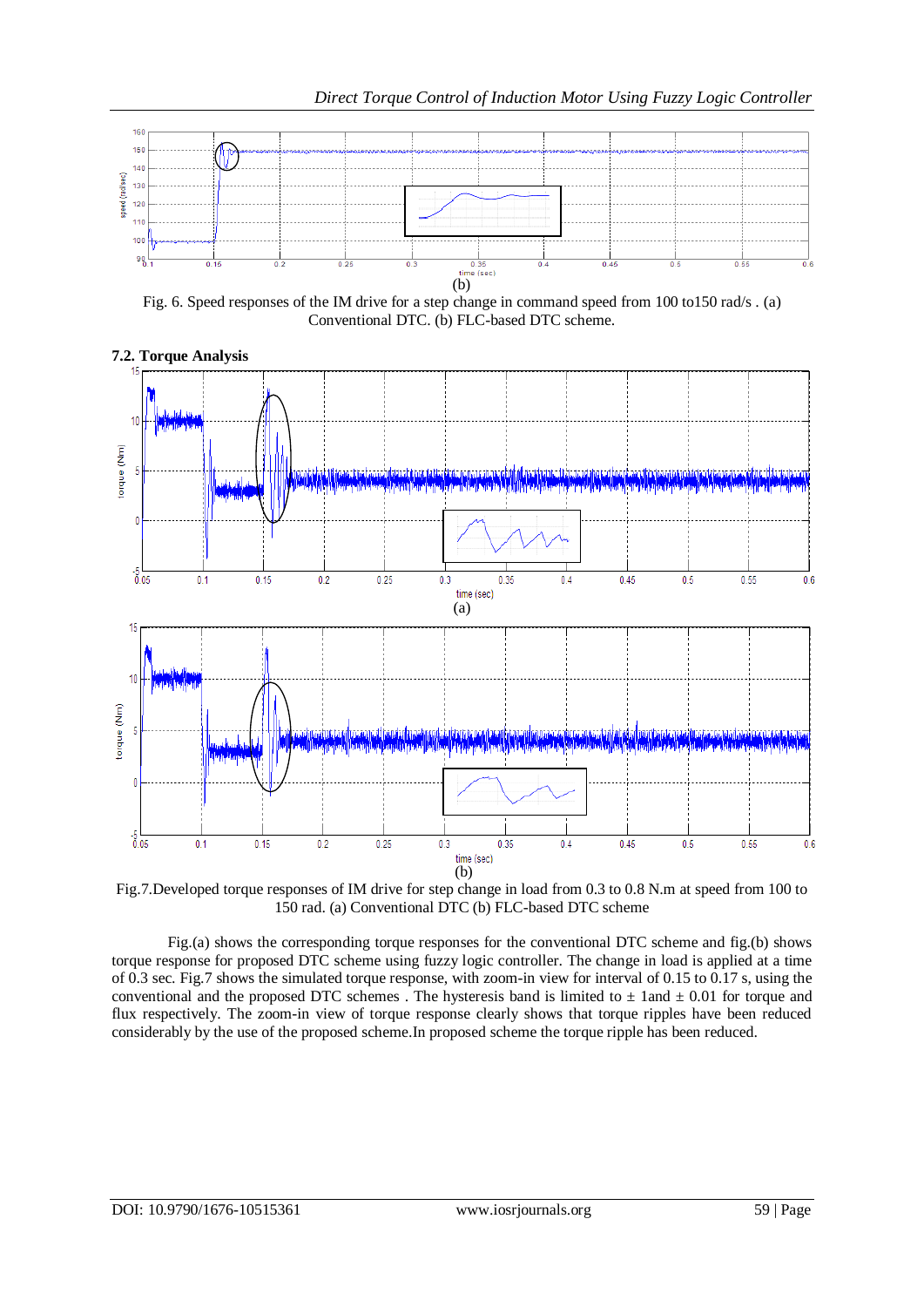

Fig. 6. Speed responses of the IM drive for a step change in command speed from 100 to150 rad/s . (a) Conventional DTC. (b) FLC-based DTC scheme.



Fig.7.Developed torque responses of IM drive for step change in load from 0.3 to 0.8 N.m at speed from 100 to 150 rad. (a) Conventional DTC (b) FLC-based DTC scheme

Fig.(a) shows the corresponding torque responses for the conventional DTC scheme and fig.(b) shows torque response for proposed DTC scheme using fuzzy logic controller. The change in load is applied at a time of 0.3 sec. Fig.7 shows the simulated torque response, with zoom-in view for interval of 0.15 to 0.17 s, using the conventional and the proposed DTC schemes . The hysteresis band is limited to  $\pm$  1and  $\pm$  0.01 for torque and flux respectively. The zoom-in view of torque response clearly shows that torque ripples have been reduced considerably by the use of the proposed scheme.In proposed scheme the torque ripple has been reduced.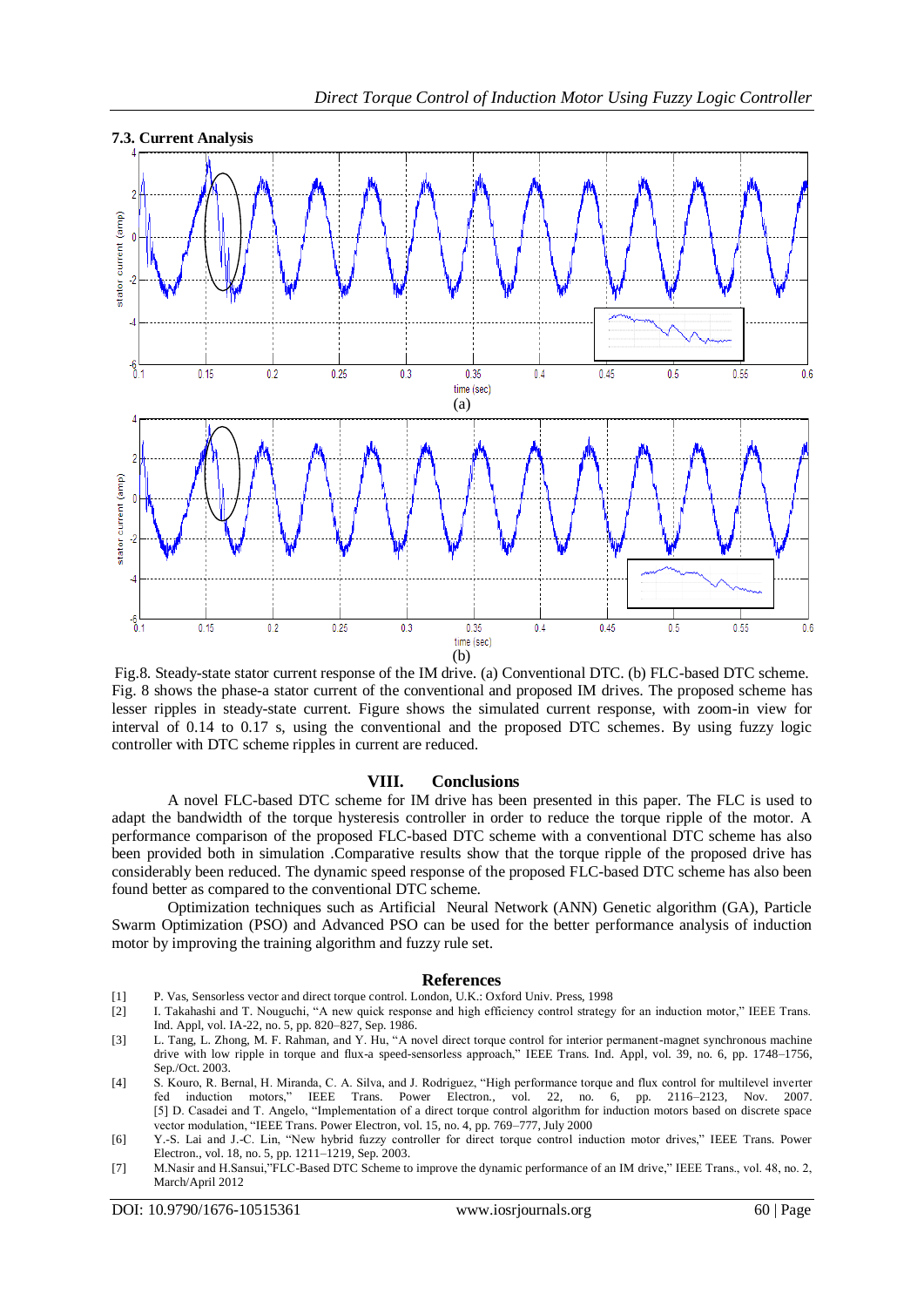

Fig.8. Steady-state stator current response of the IM drive. (a) Conventional DTC. (b) FLC-based DTC scheme. Fig. 8 shows the phase-a stator current of the conventional and proposed IM drives. The proposed scheme has lesser ripples in steady-state current. Figure shows the simulated current response, with zoom-in view for interval of 0.14 to 0.17 s, using the conventional and the proposed DTC schemes. By using fuzzy logic controller with DTC scheme ripples in current are reduced.

#### **VIII. Conclusions**

A novel FLC-based DTC scheme for IM drive has been presented in this paper. The FLC is used to adapt the bandwidth of the torque hysteresis controller in order to reduce the torque ripple of the motor. A performance comparison of the proposed FLC-based DTC scheme with a conventional DTC scheme has also been provided both in simulation .Comparative results show that the torque ripple of the proposed drive has considerably been reduced. The dynamic speed response of the proposed FLC-based DTC scheme has also been found better as compared to the conventional DTC scheme.

Optimization techniques such as Artificial Neural Network (ANN) Genetic algorithm (GA), Particle Swarm Optimization (PSO) and Advanced PSO can be used for the better performance analysis of induction motor by improving the training algorithm and fuzzy rule set.

#### **References**

- 
- [1] P. Vas, Sensorless vector and direct torque control. London, U.K.: Oxford Univ. Press, 1998 I. Takahashi and T. Nouguchi, "A new quick response and high efficiency control strategy for an induction motor," IEEE Trans. Ind. Appl, vol. IA-22, no. 5, pp. 820–827, Sep. 1986.
- [3] L. Tang, L. Zhong, M. F. Rahman, and Y. Hu, "A novel direct torque control for interior permanent-magnet synchronous machine drive with low ripple in torque and flux-a speed-sensorless approach," IEEE Trans. Ind. Appl, vol. 39, no. 6, pp. 1748–1756, Sep./Oct. 2003.
- [4] S. Kouro, R. Bernal, H. Miranda, C. A. Silva, and J. Rodriguez, "High performance torque and flux control for multilevel inverter fed induction motors," IEEE Trans. Power Electron., vol. 22, no. 6, pp. 2116–2123, Nov. 2007. [5] D. Casadei and T. Angelo, "Implementation of a direct torque control algorithm for induction motors based on discrete space vector modulation, "IEEE Trans. Power Electron, vol. 15, no. 4, pp. 769-777, July 2000
- [6] Y.-S. Lai and J.-C. Lin, "New hybrid fuzzy controller for direct torque control induction motor drives," IEEE Trans. Power Electron., vol. 18, no. 5, pp. 1211–1219, Sep. 2003.
- [7] M.Nasir and H.Sansui, "FLC-Based DTC Scheme to improve the dynamic performance of an IM drive," IEEE Trans., vol. 48, no. 2, March/April 2012